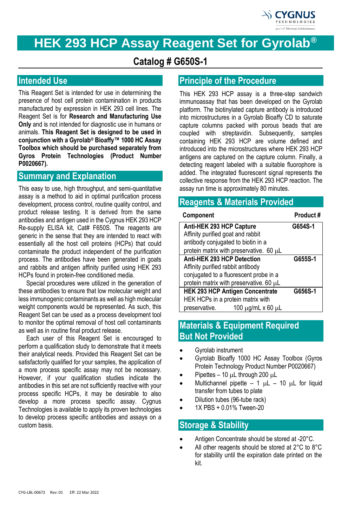

# **HEK 293 HCP Assay Reagent Set for Gyrolab®**

# **Catalog # G650S-1**

# **Intended Use**

This Reagent Set is intended for use in determining the presence of host cell protein contamination in products manufactured by expression in HEK 293 cell lines. The Reagent Set is for **Research and Manufacturing Use Only** and is not intended for diagnostic use in humans or animals. **This Reagent Set is designed to be used in conjunction with a Gyrolab® Bioaffy™ 1000 HC Assay Toolbox which should be purchased separately from Gyros Protein Technologies (Product Number P0020667).**

### **Summary and Explanation**

This easy to use, high throughput, and semi-quantitative assay is a method to aid in optimal purification process development, process control, routine quality control, and product release testing. It is derived from the same antibodies and antigen used in the Cygnus HEK 293 HCP Re-supply ELISA kit, Cat# F650S. The reagents are generic in the sense that they are intended to react with essentially all the host cell proteins (HCPs) that could contaminate the product independent of the purification process. The antibodies have been generated in goats and rabbits and antigen affinity purified using HEK 293 HCPs found in protein-free conditioned media.

Special procedures were utilized in the generation of these antibodies to ensure that low molecular weight and less immunogenic contaminants as well as high molecular weight components would be represented. As such, this Reagent Set can be used as a process development tool to monitor the optimal removal of host cell contaminants as well as in routine final product release.

Each user of this Reagent Set is encouraged to perform a qualification study to demonstrate that it meets their analytical needs. Provided this Reagent Set can be satisfactorily qualified for your samples, the application of a more process specific assay may not be necessary. However, if your qualification studies indicate the antibodies in this set are not sufficiently reactive with your process specific HCPs, it may be desirable to also develop a more process specific assay. Cygnus Technologies is available to apply its proven technologies to develop process specific antibodies and assays on a custom basis.

# **Principle of the Procedure**

This HEK 293 HCP assay is a three-step sandwich immunoassay that has been developed on the Gyrolab platform. The biotinylated capture antibody is introduced into microstructures in a Gyrolab Bioaffy CD to saturate capture columns packed with porous beads that are coupled with streptavidin. Subsequently, samples containing HEK 293 HCP are volume defined and introduced into the microstructures where HEK 293 HCP antigens are captured on the capture column. Finally, a detecting reagent labeled with a suitable fluorophore is added. The integrated fluorescent signal represents the collective response from the HEK 293 HCP reaction. The assay run time is approximately 80 minutes.

### **Reagents & Materials Provided**

| Component                               | Product# |
|-----------------------------------------|----------|
| Anti-HEK 293 HCP Capture                | G654S-1  |
| Affinity purified goat and rabbit       |          |
| antibody conjugated to biotin in a      |          |
| protein matrix with preservative. 60 µL |          |
| Anti-HEK 293 HCP Detection              | G655S-1  |
| Affinity purified rabbit antibody       |          |
| conjugated to a fluorescent probe in a  |          |
| protein matrix with preservative. 60 µL |          |
| <b>HEK 293 HCP Antigen Concentrate</b>  | G656S-1  |
| HEK HCPs in a protein matrix with       |          |
| preservative.<br>100 μg/mL x 60 μL      |          |

## **Materials & Equipment Required But Not Provided**

- Gyrolab instrument
- Gyrolab Bioaffy 1000 HC Assay Toolbox (Gyros Protein Technology Product Number P0020667)
- Pipettes 10  $\mu$ L through 200  $\mu$ L
- Multichannel pipette 1  $\mu$ L 10  $\mu$ L for liquid transfer from tubes to plate
- Dilution tubes (96-tube rack)
- 1X PBS + 0.01% Tween-20

## **Storage & Stability**

- Antigen Concentrate should be stored at -20°C.
- All other reagents should be stored at 2°C to 8°C for stability until the expiration date printed on the kit.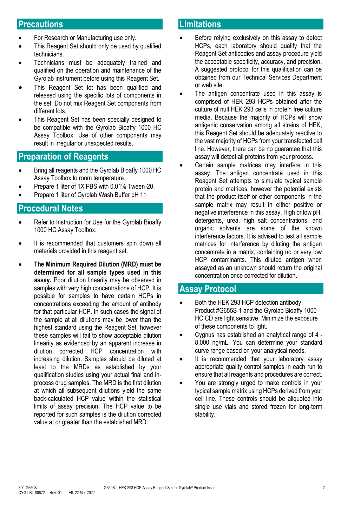### **Precautions**

- For Research or Manufacturing use only.
- This Reagent Set should only be used by qualified technicians.
- Technicians must be adequately trained and qualified on the operation and maintenance of the Gyrolab instrument before using this Reagent Set.
- This Reagent Set lot has been qualified and released using the specific lots of components in the set. Do not mix Reagent Set components from different lots.
- This Reagent Set has been specially designed to be compatible with the Gyrolab Bioaffy 1000 HC Assay Toolbox. Use of other components may result in irregular or unexpected results.

#### **Preparation of Reagents**

- Bring all reagents and the Gyrolab Bioaffy 1000 HC Assay Toolbox to room temperature.
- Prepare 1 liter of 1X PBS with 0.01% Tween-20.
- Prepare 1 liter of Gyrolab Wash Buffer pH 11

### **Procedural Notes**

- Refer to Instruction for Use for the Gyrolab Bioaffy 1000 HC Assay Toolbox.
- It is recommended that customers spin down all materials provided in this reagent set.
- **The Minimum Required Dilution (MRD) must be determined for all sample types used in this assay.** Poor dilution linearity may be observed in samples with very high concentrations of HCP. It is possible for samples to have certain HCPs in concentrations exceeding the amount of antibody for that particular HCP. In such cases the signal of the sample at all dilutions may be lower than the highest standard using the Reagent Set, however these samples will fail to show acceptable dilution linearity as evidenced by an apparent increase in dilution corrected HCP concentration with increasing dilution. Samples should be diluted at least to the MRDs as established by your qualification studies using your actual final and inprocess drug samples. The MRD is the first dilution at which all subsequent dilutions yield the same back-calculated HCP value within the statistical limits of assay precision. The HCP value to be reported for such samples is the dilution corrected value at or greater than the established MRD.

### **Limitations**

- Before relying exclusively on this assay to detect HCPs, each laboratory should qualify that the Reagent Set antibodies and assay procedure yield the acceptable specificity, accuracy, and precision. A suggested protocol for this qualification can be obtained from our Technical Services Department or web site.
- The antigen concentrate used in this assay is comprised of HEK 293 HCPs obtained after the culture of null HEK 293 cells in protein free culture media. Because the majority of HCPs will show antigenic conservation among all strains of HEK, this Reagent Set should be adequately reactive to the vast majority of HCPs from your transfected cell line. However, there can be no guarantee that this assay will detect all proteins from your process*.*
- Certain sample matrices may interfere in this assay. The antigen concentrate used in this Reagent Set attempts to simulate typical sample protein and matrices, however the potential exists that the product itself or other components in the sample matrix may result in either positive or negative interference in this assay. High or low pH, detergents, urea, high salt concentrations, and organic solvents are some of the known interference factors. It is advised to test all sample matrices for interference by diluting the antigen concentrate in a matrix, containing no or very low HCP contaminants. This diluted antigen when assayed as an unknown should return the original concentration once corrected for dilution.

### **Assay Protocol**

- Both the HEK 293 HCP detection antibody. Product #G655S-1 and the Gyrolab Bioaffy 1000 HC CD are light sensitive. Minimize the exposure of these components to light.
- Cygnus has established an analytical range of 4 8,000 ng/mL. You can determine your standard curve range based on your analytical needs.
- It is recommended that your laboratory assay appropriate quality control samples in each run to ensure that all reagents and procedures are correct.
- You are strongly urged to make controls in your typical sample matrix using HCPs derived from your cell line. These controls should be aliquoted into single use vials and stored frozen for long-term stability.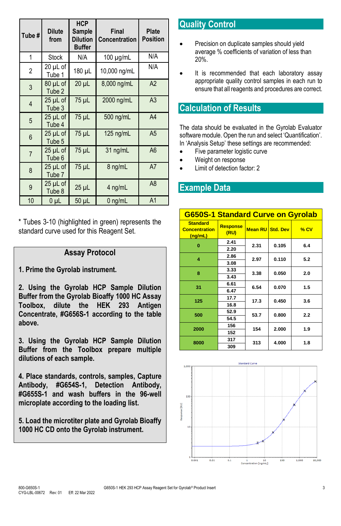| Tube #         | <b>Dilute</b><br>from         | <b>HCP</b><br>Sample<br><b>Dilution</b><br><b>Buffer</b> | Final<br><b>Concentration</b> | <b>Plate</b><br><b>Position</b> |
|----------------|-------------------------------|----------------------------------------------------------|-------------------------------|---------------------------------|
| 1              | <b>Stock</b>                  | N/A                                                      | $100 \mu g/mL$                | N/A                             |
| $\overline{2}$ | 20 µL of<br>Tube 1            | 180 µL                                                   | 10,000 ng/mL                  | N/A                             |
| 3              | 80 µL of<br>Tube 2            | $20 \mu L$                                               | 8,000 ng/mL                   | A2                              |
| $\overline{4}$ | 25 µL of<br>Tube 3            | 75 µL                                                    | 2000 ng/mL                    | A <sub>3</sub>                  |
| 5              | 25 µL of<br>Tube 4            | 75 µL                                                    | 500 ng/mL                     | A4                              |
| 6              | 25 µL of<br>Tube 5            | 75 µL                                                    | $125$ ng/mL                   | A <sub>5</sub>                  |
| $\overline{7}$ | 25 µL of<br>Tube 6            | 75 µL                                                    | $31$ ng/mL                    | A <sub>6</sub>                  |
| 8              | 25 µL of<br>Tube <sub>7</sub> | 75 µL                                                    | 8 ng/mL                       | A7                              |
| 9              | 25 µL of<br>Tube 8            | $25$ $\mu$ L                                             | 4 ng/mL                       | A <sub>8</sub>                  |
| 10             | $0\mu$ L                      | 50 µL                                                    | $0$ ng/mL                     | A <sub>1</sub>                  |

\* Tubes 3-10 (highlighted in green) represents the standard curve used for this Reagent Set.

#### **Assay Protocol**

**1. Prime the Gyrolab instrument.**

**2. Using the Gyrolab HCP Sample Dilution Buffer from the Gyrolab Bioaffy 1000 HC Assay Toolbox, dilute the HEK 293 Antigen Concentrate, #G656S-1 according to the table above.**

**3. Using the Gyrolab HCP Sample Dilution Buffer from the Toolbox prepare multiple dilutions of each sample.**

**4. Place standards, controls, samples, Capture Antibody, #G654S-1, Detection Antibody, #G655S-1 and wash buffers in the 96-well microplate according to the loading list.** 

**5. Load the microtiter plate and Gyrolab Bioaffy 1000 HC CD onto the Gyrolab instrument.** 

# **Quality Control**

- Precision on duplicate samples should yield average % coefficients of variation of less than 20%.
- It is recommended that each laboratory assay appropriate quality control samples in each run to ensure that all reagents and procedures are correct.

### **Calculation of Results**

The data should be evaluated in the Gyrolab Evaluator software module. Open the run and select 'Quantification'. In 'Analysis Setup' these settings are recommended:

- Five parameter logistic curve
- Weight on response
- Limit of detection factor: 2

### **Example Data**

| G650S-1 Standard Curve on Gyrolab                  |                         |      |                  |        |     |
|----------------------------------------------------|-------------------------|------|------------------|--------|-----|
| <b>Standard</b><br><b>Concentration</b><br>(ng/mL) | <b>Response</b><br>(RU) |      | Mean RU Std. Dev | $%$ CV |     |
| 0                                                  | 2.41                    | 2.31 | 0.105            | 6.4    |     |
|                                                    | 2.20                    |      |                  |        |     |
| 4                                                  | 2.86                    | 2.97 | 0.110            | 5.2    |     |
|                                                    | 3.08                    |      |                  |        |     |
| 8                                                  | 3.33                    | 3.38 | 0.050            | 2.0    |     |
|                                                    | 3.43                    |      |                  |        |     |
| 31                                                 | 6.61                    | 6.54 | 0.070            | 1.5    |     |
|                                                    | 6.47                    |      |                  |        |     |
| 125                                                | 17.7                    | 17.3 | 0.450            | 3.6    |     |
|                                                    | 16.8                    |      |                  |        |     |
| 500                                                | 52.9                    | 53.7 | 0.800            | 2.2    |     |
|                                                    | 54.5                    |      |                  |        |     |
| 2000                                               | 156                     | 154  |                  | 2.000  | 1.9 |
|                                                    | 152                     |      |                  |        |     |
| 8000                                               | 317                     | 313  | 4.000            | 1.8    |     |
|                                                    | 309                     |      |                  |        |     |